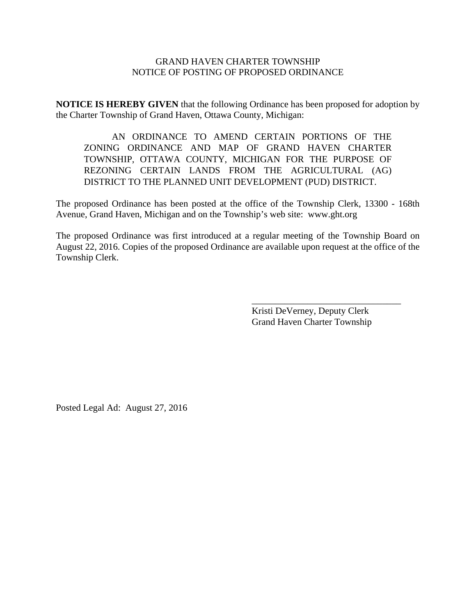## GRAND HAVEN CHARTER TOWNSHIP NOTICE OF POSTING OF PROPOSED ORDINANCE

**NOTICE IS HEREBY GIVEN** that the following Ordinance has been proposed for adoption by the Charter Township of Grand Haven, Ottawa County, Michigan:

AN ORDINANCE TO AMEND CERTAIN PORTIONS OF THE ZONING ORDINANCE AND MAP OF GRAND HAVEN CHARTER TOWNSHIP, OTTAWA COUNTY, MICHIGAN FOR THE PURPOSE OF REZONING CERTAIN LANDS FROM THE AGRICULTURAL (AG) DISTRICT TO THE PLANNED UNIT DEVELOPMENT (PUD) DISTRICT.

The proposed Ordinance has been posted at the office of the Township Clerk, 13300 - 168th Avenue, Grand Haven, Michigan and on the Township's web site: www.ght.org

The proposed Ordinance was first introduced at a regular meeting of the Township Board on August 22, 2016. Copies of the proposed Ordinance are available upon request at the office of the Township Clerk.

> Kristi DeVerney, Deputy Clerk Grand Haven Charter Township

 $\overline{\phantom{a}}$  , where  $\overline{\phantom{a}}$  , where  $\overline{\phantom{a}}$  ,  $\overline{\phantom{a}}$  ,  $\overline{\phantom{a}}$  ,  $\overline{\phantom{a}}$  ,  $\overline{\phantom{a}}$  ,  $\overline{\phantom{a}}$  ,  $\overline{\phantom{a}}$  ,  $\overline{\phantom{a}}$  ,  $\overline{\phantom{a}}$  ,  $\overline{\phantom{a}}$  ,  $\overline{\phantom{a}}$  ,  $\overline{\phantom{a}}$  ,  $\overline{\phantom{a}}$  ,

Posted Legal Ad: August 27, 2016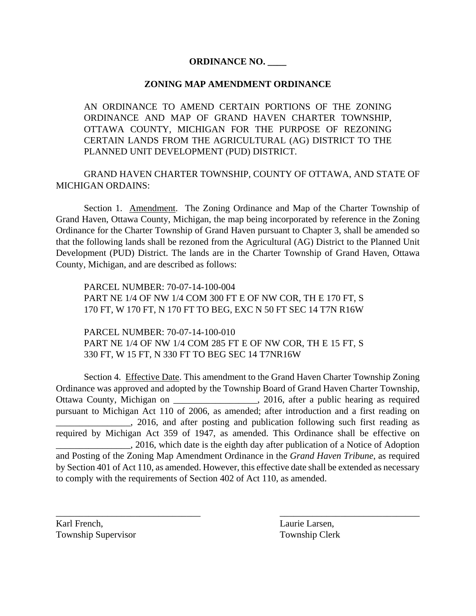## **ORDINANCE NO. \_\_\_\_**

## **ZONING MAP AMENDMENT ORDINANCE**

AN ORDINANCE TO AMEND CERTAIN PORTIONS OF THE ZONING ORDINANCE AND MAP OF GRAND HAVEN CHARTER TOWNSHIP, OTTAWA COUNTY, MICHIGAN FOR THE PURPOSE OF REZONING CERTAIN LANDS FROM THE AGRICULTURAL (AG) DISTRICT TO THE PLANNED UNIT DEVELOPMENT (PUD) DISTRICT.

GRAND HAVEN CHARTER TOWNSHIP, COUNTY OF OTTAWA, AND STATE OF MICHIGAN ORDAINS:

Section 1. Amendment. The Zoning Ordinance and Map of the Charter Township of Grand Haven, Ottawa County, Michigan, the map being incorporated by reference in the Zoning Ordinance for the Charter Township of Grand Haven pursuant to Chapter 3, shall be amended so that the following lands shall be rezoned from the Agricultural (AG) District to the Planned Unit Development (PUD) District. The lands are in the Charter Township of Grand Haven, Ottawa County, Michigan, and are described as follows:

PARCEL NUMBER: 70-07-14-100-004 PART NE 1/4 OF NW 1/4 COM 300 FT E OF NW COR, TH E 170 FT, S 170 FT, W 170 FT, N 170 FT TO BEG, EXC N 50 FT SEC 14 T7N R16W

PARCEL NUMBER: 70-07-14-100-010 PART NE 1/4 OF NW 1/4 COM 285 FT E OF NW COR, TH E 15 FT, S 330 FT, W 15 FT, N 330 FT TO BEG SEC 14 T7NR16W

Section 4. Effective Date. This amendment to the Grand Haven Charter Township Zoning Ordinance was approved and adopted by the Township Board of Grand Haven Charter Township, Ottawa County, Michigan on 2016, after a public hearing as required pursuant to Michigan Act 110 of 2006, as amended; after introduction and a first reading on 2016, and after posting and publication following such first reading as required by Michigan Act 359 of 1947, as amended. This Ordinance shall be effective on \_\_\_\_\_\_\_\_\_\_\_\_\_\_\_\_, 2016, which date is the eighth day after publication of a Notice of Adoption and Posting of the Zoning Map Amendment Ordinance in the *Grand Haven Tribune*, as required by Section 401 of Act 110, as amended. However, this effective date shall be extended as necessary to comply with the requirements of Section 402 of Act 110, as amended.

\_\_\_\_\_\_\_\_\_\_\_\_\_\_\_\_\_\_\_\_\_\_\_\_\_\_\_\_\_\_\_ \_\_\_\_\_\_\_\_\_\_\_\_\_\_\_\_\_\_\_\_\_\_\_\_\_\_\_\_\_\_

Karl French, Laurie Larsen, Township Supervisor Township Clerk